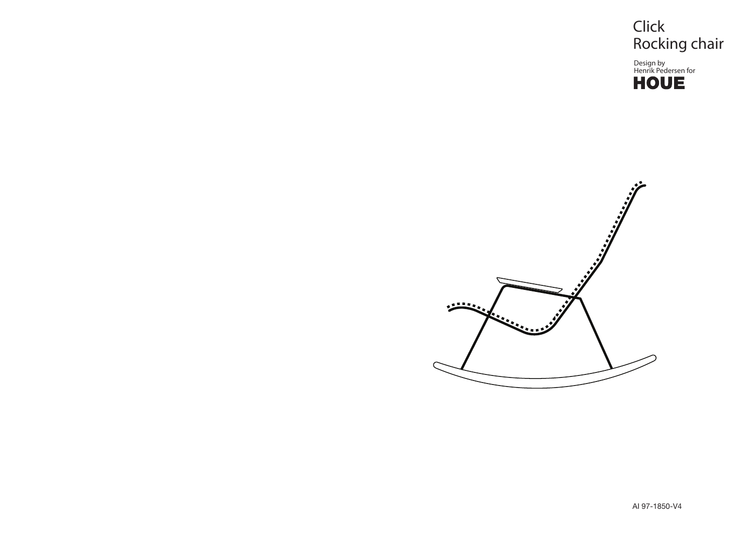

Design by Henrik Pedersen for